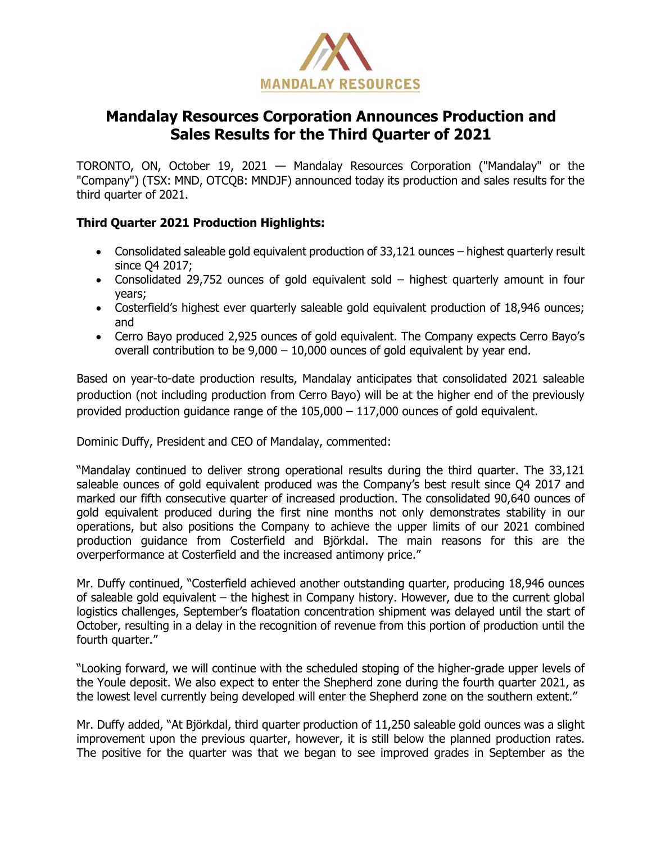

# **Mandalay Resources Corporation Announces Production and Sales Results for the Third Quarter of 2021**

TORONTO, ON, October 19, 2021 — Mandalay Resources Corporation ("Mandalay" or the "Company") (TSX: MND, OTCQB: MNDJF) announced today its production and sales results for the third quarter of 2021.

# **Third Quarter 2021 Production Highlights:**

- Consolidated saleable gold equivalent production of 33,121 ounces highest quarterly result since Q4 2017;
- Consolidated 29,752 ounces of gold equivalent sold highest quarterly amount in four years;
- Costerfield's highest ever quarterly saleable gold equivalent production of 18,946 ounces; and
- Cerro Bayo produced 2,925 ounces of gold equivalent. The Company expects Cerro Bayo's overall contribution to be  $9,000 - 10,000$  ounces of gold equivalent by year end.

Based on year-to-date production results, Mandalay anticipates that consolidated 2021 saleable production (not including production from Cerro Bayo) will be at the higher end of the previously provided production guidance range of the 105,000 – 117,000 ounces of gold equivalent.

Dominic Duffy, President and CEO of Mandalay, commented:

"Mandalay continued to deliver strong operational results during the third quarter. The 33,121 saleable ounces of gold equivalent produced was the Company's best result since Q4 2017 and marked our fifth consecutive quarter of increased production. The consolidated 90,640 ounces of gold equivalent produced during the first nine months not only demonstrates stability in our operations, but also positions the Company to achieve the upper limits of our 2021 combined production guidance from Costerfield and Björkdal. The main reasons for this are the overperformance at Costerfield and the increased antimony price."

Mr. Duffy continued, "Costerfield achieved another outstanding quarter, producing 18,946 ounces of saleable gold equivalent – the highest in Company history. However, due to the current global logistics challenges, September's floatation concentration shipment was delayed until the start of October, resulting in a delay in the recognition of revenue from this portion of production until the fourth quarter."

"Looking forward, we will continue with the scheduled stoping of the higher-grade upper levels of the Youle deposit. We also expect to enter the Shepherd zone during the fourth quarter 2021, as the lowest level currently being developed will enter the Shepherd zone on the southern extent."

Mr. Duffy added, "At Björkdal, third quarter production of 11,250 saleable gold ounces was a slight improvement upon the previous quarter, however, it is still below the planned production rates. The positive for the quarter was that we began to see improved grades in September as the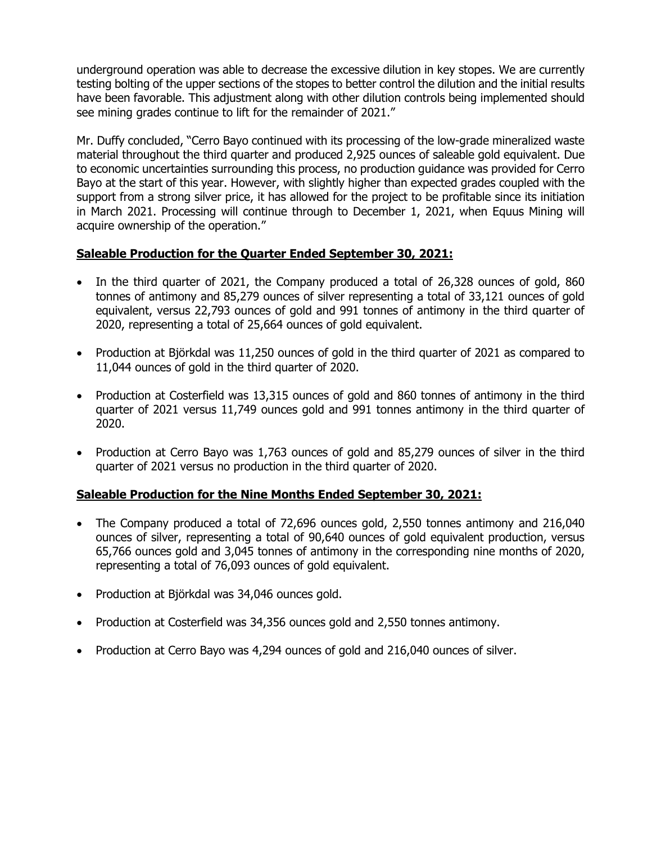underground operation was able to decrease the excessive dilution in key stopes. We are currently testing bolting of the upper sections of the stopes to better control the dilution and the initial results have been favorable. This adjustment along with other dilution controls being implemented should see mining grades continue to lift for the remainder of 2021."

Mr. Duffy concluded, "Cerro Bayo continued with its processing of the low-grade mineralized waste material throughout the third quarter and produced 2,925 ounces of saleable gold equivalent. Due to economic uncertainties surrounding this process, no production guidance was provided for Cerro Bayo at the start of this year. However, with slightly higher than expected grades coupled with the support from a strong silver price, it has allowed for the project to be profitable since its initiation in March 2021. Processing will continue through to December 1, 2021, when Equus Mining will acquire ownership of the operation."

### **Saleable Production for the Quarter Ended September 30, 2021:**

- In the third quarter of 2021, the Company produced a total of 26,328 ounces of gold, 860 tonnes of antimony and 85,279 ounces of silver representing a total of 33,121 ounces of gold equivalent, versus 22,793 ounces of gold and 991 tonnes of antimony in the third quarter of 2020, representing a total of 25,664 ounces of gold equivalent.
- Production at Björkdal was 11,250 ounces of gold in the third quarter of 2021 as compared to 11,044 ounces of gold in the third quarter of 2020.
- Production at Costerfield was 13,315 ounces of gold and 860 tonnes of antimony in the third quarter of 2021 versus 11,749 ounces gold and 991 tonnes antimony in the third quarter of 2020.
- Production at Cerro Bayo was 1,763 ounces of gold and 85,279 ounces of silver in the third quarter of 2021 versus no production in the third quarter of 2020.

## **Saleable Production for the Nine Months Ended September 30, 2021:**

- The Company produced a total of 72,696 ounces gold, 2,550 tonnes antimony and 216,040 ounces of silver, representing a total of 90,640 ounces of gold equivalent production, versus 65,766 ounces gold and 3,045 tonnes of antimony in the corresponding nine months of 2020, representing a total of 76,093 ounces of gold equivalent.
- Production at Björkdal was 34,046 ounces gold.
- Production at Costerfield was 34,356 ounces gold and 2,550 tonnes antimony.
- Production at Cerro Bayo was 4,294 ounces of gold and 216,040 ounces of silver.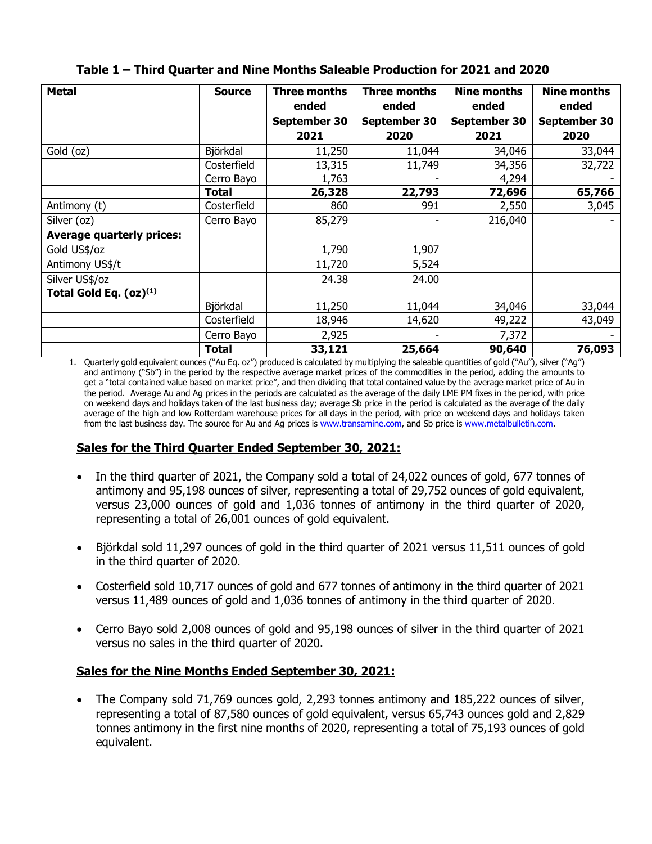| <b>Metal</b>                     | <b>Source</b> | Three months<br>ended | Three months<br>ended | <b>Nine months</b><br>ended | <b>Nine months</b><br>ended |
|----------------------------------|---------------|-----------------------|-----------------------|-----------------------------|-----------------------------|
|                                  |               | September 30          | September 30          | September 30                | September 30                |
|                                  |               | 2021                  | 2020                  | 2021                        | 2020                        |
| Gold (oz)                        | Björkdal      | 11,250                | 11,044                | 34,046                      | 33,044                      |
|                                  | Costerfield   | 13,315                | 11,749                | 34,356                      | 32,722                      |
|                                  | Cerro Bayo    | 1,763                 |                       | 4,294                       |                             |
|                                  | Total         | 26,328                | 22,793                | 72,696                      | 65,766                      |
| Antimony (t)                     | Costerfield   | 860                   | 991                   | 2,550                       | 3,045                       |
| Silver (oz)                      | Cerro Bayo    | 85,279                |                       | 216,040                     |                             |
| <b>Average quarterly prices:</b> |               |                       |                       |                             |                             |
| Gold US\$/oz                     |               | 1,790                 | 1,907                 |                             |                             |
| Antimony US\$/t                  |               | 11,720                | 5,524                 |                             |                             |
| Silver US\$/oz                   |               | 24.38                 | 24.00                 |                             |                             |
| Total Gold Eq. $(oz)^{(1)}$      |               |                       |                       |                             |                             |
|                                  | Björkdal      | 11,250                | 11,044                | 34,046                      | 33,044                      |
|                                  | Costerfield   | 18,946                | 14,620                | 49,222                      | 43,049                      |
|                                  | Cerro Bayo    | 2,925                 |                       | 7,372                       |                             |
|                                  | <b>Total</b>  | 33,121                | 25,664                | 90,640                      | 76,093                      |

# **Table 1 – Third Quarter and Nine Months Saleable Production for 2021 and 2020**

1. Quarterly gold equivalent ounces ("Au Eq. oz") produced is calculated by multiplying the saleable quantities of gold ("Au"), silver ("Ag") and antimony ("Sb") in the period by the respective average market prices of the commodities in the period, adding the amounts to get a "total contained value based on market price", and then dividing that total contained value by the average market price of Au in the period. Average Au and Ag prices in the periods are calculated as the average of the daily LME PM fixes in the period, with price on weekend days and holidays taken of the last business day; average Sb price in the period is calculated as the average of the daily average of the high and low Rotterdam warehouse prices for all days in the period, with price on weekend days and holidays taken from the last business day. The source for Au and Ag prices i[s www.transamine.com,](file:///C:/Users/Edison%20Nguyen/AppData/Local/Microsoft/Windows/INetCache/Content.Outlook/36050IKN/www.transamine.com) and Sb price i[s www.metalbulletin.com.](http://www.metalbulletin.com/)

## **Sales for the Third Quarter Ended September 30, 2021:**

- In the third quarter of 2021, the Company sold a total of 24,022 ounces of gold, 677 tonnes of antimony and 95,198 ounces of silver, representing a total of 29,752 ounces of gold equivalent, versus 23,000 ounces of gold and 1,036 tonnes of antimony in the third quarter of 2020, representing a total of 26,001 ounces of gold equivalent.
- Björkdal sold 11,297 ounces of gold in the third quarter of 2021 versus 11,511 ounces of gold in the third quarter of 2020.
- Costerfield sold 10,717 ounces of gold and 677 tonnes of antimony in the third quarter of 2021 versus 11,489 ounces of gold and 1,036 tonnes of antimony in the third quarter of 2020.
- Cerro Bayo sold 2,008 ounces of gold and 95,198 ounces of silver in the third quarter of 2021 versus no sales in the third quarter of 2020.

## **Sales for the Nine Months Ended September 30, 2021:**

• The Company sold 71,769 ounces gold, 2,293 tonnes antimony and 185,222 ounces of silver, representing a total of 87,580 ounces of gold equivalent, versus 65,743 ounces gold and 2,829 tonnes antimony in the first nine months of 2020, representing a total of 75,193 ounces of gold equivalent.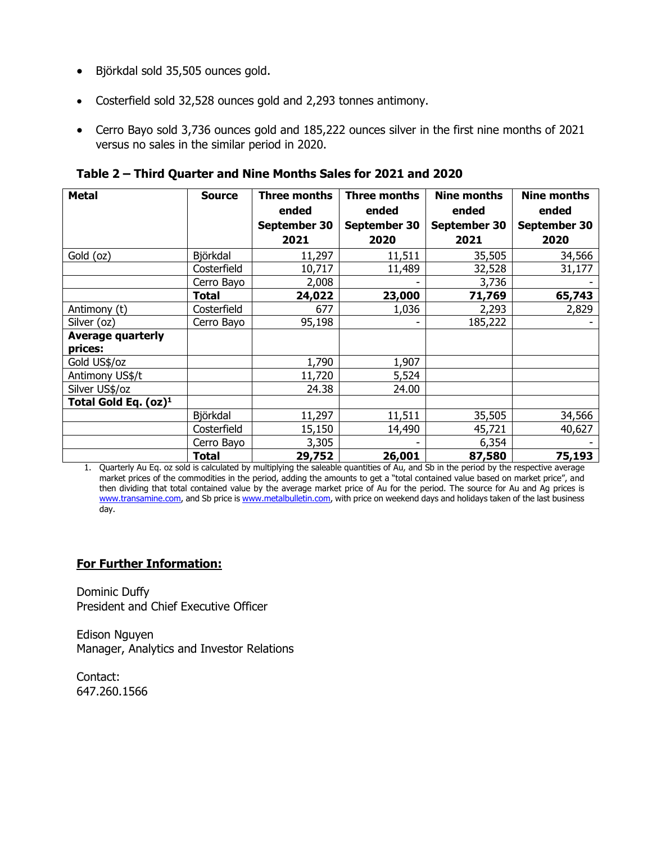- Björkdal sold 35,505 ounces gold.
- Costerfield sold 32,528 ounces gold and 2,293 tonnes antimony.
- Cerro Bayo sold 3,736 ounces gold and 185,222 ounces silver in the first nine months of 2021 versus no sales in the similar period in 2020.

**Metal Source Three months ended September 30 2021 Three months ended September 30 2020 Nine months ended September 30 2021 Nine months ended September 30 2020** Gold (oz) | Björkdal 11,297 | 11,511 | 35,505 | 34,566 Costerfield 10,717 11,489 32,528 31,177 Cerro Bayo 2,008 - 3,736 **Total 24,022 23,000 71,769 65,743** Antimony (t) | Costerfield | 677 | 1,036 | 2,293 | 2,829 Silver (oz) | Cerro Bayo | 95,198 | - | 185,222 **Average quarterly prices:** Gold US\$/oz 1,907 Antimony US\$/t 11,720 5,524 Silver US\$/oz 24.38 24.00 **Total Gold Eq. (oz)<sup>1</sup>** Björkdal 11,297 11,511 35,505 34,566 Costerfield 15,150 14,490 45,721 40,627 Cerro Bayo 3,305 - 6,354 - **Total 29,752 26,001 87,580 75,193**

**Table 2 – Third Quarter and Nine Months Sales for 2021 and 2020**

1. Quarterly Au Eq. oz sold is calculated by multiplying the saleable quantities of Au, and Sb in the period by the respective average market prices of the commodities in the period, adding the amounts to get a "total contained value based on market price", and then dividing that total contained value by the average market price of Au for the period. The source for Au and Ag prices is [www.transamine.com,](file:///C:/Users/Edison%20Nguyen/AppData/Local/Microsoft/Windows/INetCache/Content.Outlook/36050IKN/www.transamine.com) and Sb price i[s www.metalbulletin.com,](http://www.metalbulletin.com/) with price on weekend days and holidays taken of the last business day.

#### **For Further Information:**

Dominic Duffy President and Chief Executive Officer

Edison Nguyen Manager, Analytics and Investor Relations

Contact: 647.260.1566